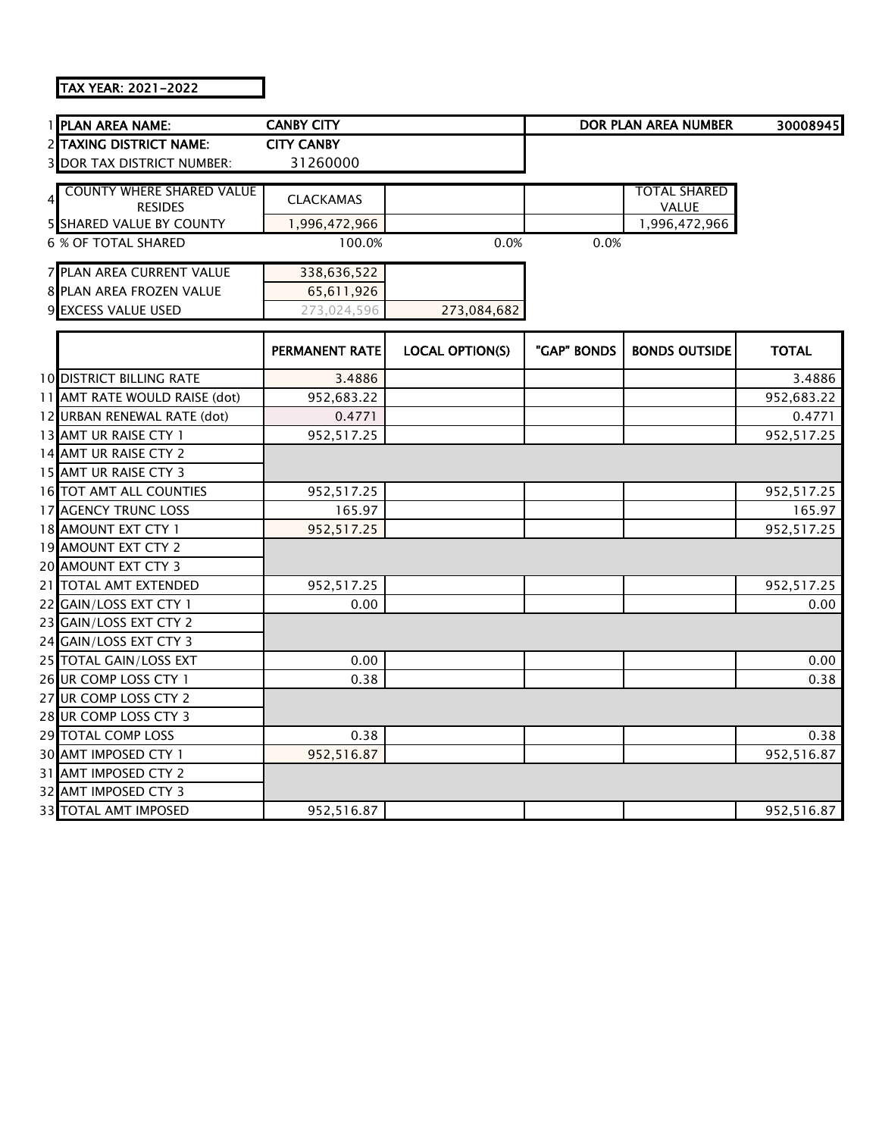TAX YEAR: 2021-2022

| 1 PLAN AREA NAME:                                  | <b>CANBY CITY</b>     |                        |             | <b>DOR PLAN AREA NUMBER</b>  | 30008945     |
|----------------------------------------------------|-----------------------|------------------------|-------------|------------------------------|--------------|
| 2 TAXING DISTRICT NAME:                            | <b>CITY CANBY</b>     |                        |             |                              |              |
| <b>3 DOR TAX DISTRICT NUMBER:</b>                  | 31260000              |                        |             |                              |              |
|                                                    |                       |                        |             |                              |              |
| <b>COUNTY WHERE SHARED VALUE</b><br><b>RESIDES</b> | <b>CLACKAMAS</b>      |                        |             | <b>TOTAL SHARED</b><br>VALUE |              |
| <b>5 SHARED VALUE BY COUNTY</b>                    | 1,996,472,966         |                        |             | 1,996,472,966                |              |
| <b>6 % OF TOTAL SHARED</b>                         | 100.0%                | 0.0%                   | 0.0%        |                              |              |
|                                                    |                       |                        |             |                              |              |
| 7 PLAN AREA CURRENT VALUE                          | 338,636,522           |                        |             |                              |              |
| 8 PLAN AREA FROZEN VALUE                           | 65,611,926            |                        |             |                              |              |
| 9 EXCESS VALUE USED                                | 273,024,596           | 273,084,682            |             |                              |              |
|                                                    |                       |                        |             |                              |              |
|                                                    | <b>PERMANENT RATE</b> | <b>LOCAL OPTION(S)</b> | "GAP" BONDS | <b>BONDS OUTSIDE</b>         | <b>TOTAL</b> |
| <b>10 DISTRICT BILLING RATE</b>                    | 3.4886                |                        |             |                              | 3.4886       |
| 11 AMT RATE WOULD RAISE (dot)                      | 952,683.22            |                        |             |                              | 952,683.22   |
| 12 URBAN RENEWAL RATE (dot)                        | 0.4771                |                        |             |                              | 0.4771       |
| 13 AMT UR RAISE CTY 1                              | 952,517.25            |                        |             |                              | 952,517.25   |
| 14 AMT UR RAISE CTY 2                              |                       |                        |             |                              |              |
| 15 AMT UR RAISE CTY 3                              |                       |                        |             |                              |              |
| 16 TOT AMT ALL COUNTIES                            | 952,517.25            |                        |             |                              | 952,517.25   |
| 17 AGENCY TRUNC LOSS                               | 165.97                |                        |             |                              | 165.97       |
| 18 AMOUNT EXT CTY 1                                | 952,517.25            |                        |             |                              | 952,517.25   |
| 19 AMOUNT EXT CTY 2                                |                       |                        |             |                              |              |
| 20 AMOUNT EXT CTY 3                                |                       |                        |             |                              |              |
| 21 TOTAL AMT EXTENDED                              | 952,517.25            |                        |             |                              | 952,517.25   |
| 22 GAIN/LOSS EXT CTY 1                             | 0.00                  |                        |             |                              | 0.00         |
| 23 GAIN/LOSS EXT CTY 2                             |                       |                        |             |                              |              |
| 24 GAIN/LOSS EXT CTY 3                             |                       |                        |             |                              |              |
| 25 TOTAL GAIN/LOSS EXT                             | 0.00                  |                        |             |                              | 0.00         |
| 26 UR COMP LOSS CTY 1                              | 0.38                  |                        |             |                              | 0.38         |
| 27 UR COMP LOSS CTY 2                              |                       |                        |             |                              |              |
| 28 UR COMP LOSS CTY 3                              |                       |                        |             |                              |              |
| 29 TOTAL COMP LOSS                                 | 0.38                  |                        |             |                              | 0.38         |
| 30 AMT IMPOSED CTY 1                               | 952,516.87            |                        |             |                              | 952,516.87   |
| 31 AMT IMPOSED CTY 2                               |                       |                        |             |                              |              |
| 32 AMT IMPOSED CTY 3                               |                       |                        |             |                              |              |
| 33 TOTAL AMT IMPOSED                               | 952,516.87            |                        |             |                              | 952,516.87   |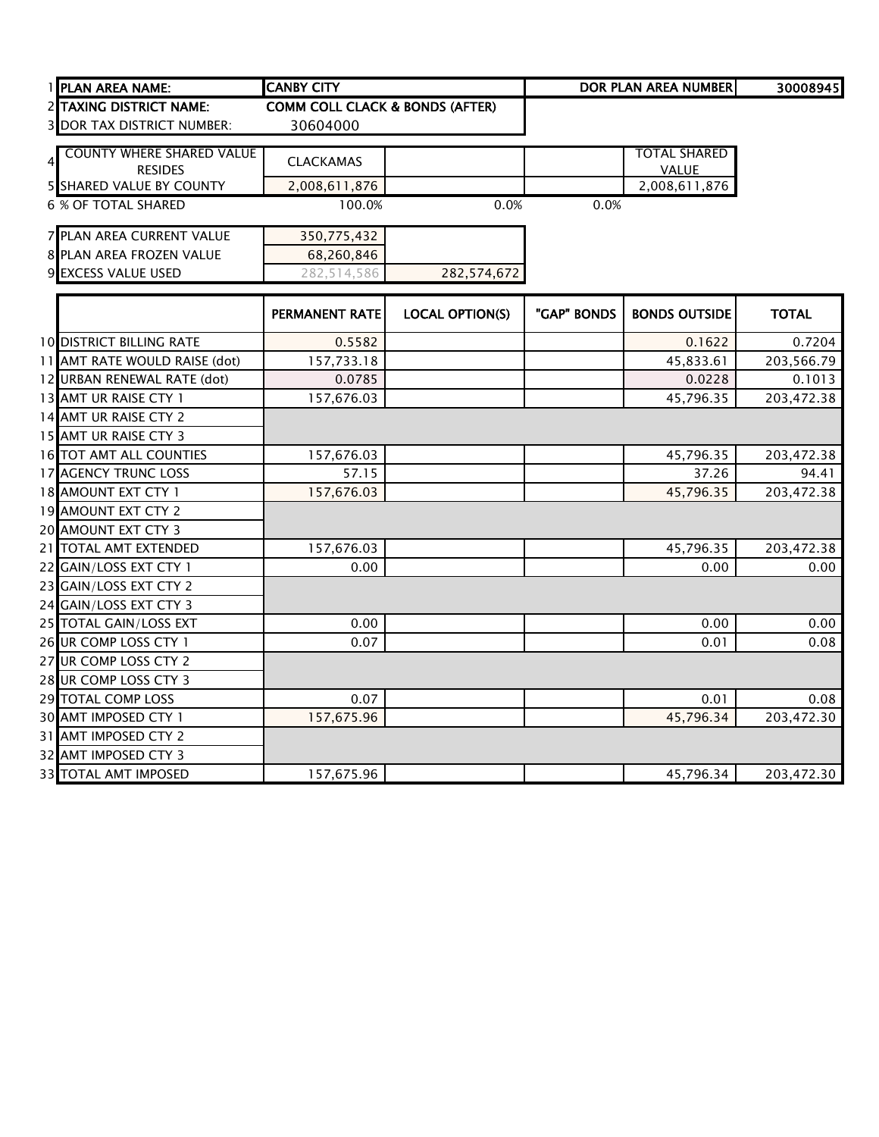| <b>PLAN AREA NAME:</b>            | <b>CANBY CITY</b>                          |                        |             | <b>DOR PLAN AREA NUMBER</b> | 30008945     |
|-----------------------------------|--------------------------------------------|------------------------|-------------|-----------------------------|--------------|
| 2 TAXING DISTRICT NAME:           | <b>COMM COLL CLACK &amp; BONDS (AFTER)</b> |                        |             |                             |              |
| <b>3 DOR TAX DISTRICT NUMBER:</b> | 30604000                                   |                        |             |                             |              |
| <b>COUNTY WHERE SHARED VALUE</b>  |                                            |                        |             | <b>TOTAL SHARED</b>         |              |
| <b>RESIDES</b>                    | <b>CLACKAMAS</b>                           |                        |             | VALUE                       |              |
| <b>5 SHARED VALUE BY COUNTY</b>   | 2,008,611,876                              |                        |             | 2,008,611,876               |              |
| <b>6 % OF TOTAL SHARED</b>        | 100.0%                                     | 0.0%                   | 0.0%        |                             |              |
|                                   |                                            |                        |             |                             |              |
| 7 PLAN AREA CURRENT VALUE         | 350,775,432                                |                        |             |                             |              |
| 8 PLAN AREA FROZEN VALUE          | 68,260,846                                 |                        |             |                             |              |
| 9 EXCESS VALUE USED               | 282,514,586                                | 282,574,672            |             |                             |              |
|                                   |                                            |                        |             |                             |              |
|                                   | <b>PERMANENT RATE</b>                      | <b>LOCAL OPTION(S)</b> | "GAP" BONDS | <b>BONDS OUTSIDE</b>        | <b>TOTAL</b> |
| <b>10 DISTRICT BILLING RATE</b>   | 0.5582                                     |                        |             | 0.1622                      | 0.7204       |
| 11 AMT RATE WOULD RAISE (dot)     | 157,733.18                                 |                        |             | 45,833.61                   | 203,566.79   |
| 12 URBAN RENEWAL RATE (dot)       | 0.0785                                     |                        |             | 0.0228                      | 0.1013       |
| 13 AMT UR RAISE CTY 1             | 157,676.03                                 |                        |             | 45,796.35                   | 203,472.38   |
| 14 AMT UR RAISE CTY 2             |                                            |                        |             |                             |              |
| 15 AMT UR RAISE CTY 3             |                                            |                        |             |                             |              |
| 16 TOT AMT ALL COUNTIES           | 157,676.03                                 |                        |             | 45,796.35                   | 203,472.38   |
| <b>17 AGENCY TRUNC LOSS</b>       | 57.15                                      |                        |             | 37.26                       | 94.41        |
| 18 AMOUNT EXT CTY 1               | 157,676.03                                 |                        |             | 45,796.35                   | 203,472.38   |
| 19 AMOUNT EXT CTY 2               |                                            |                        |             |                             |              |
| 20 AMOUNT EXT CTY 3               |                                            |                        |             |                             |              |
| 21 TOTAL AMT EXTENDED             | 157,676.03                                 |                        |             | 45,796.35                   | 203,472.38   |
| 22 GAIN/LOSS EXT CTY 1            | 0.00                                       |                        |             | 0.00                        | 0.00         |
| 23 GAIN/LOSS EXT CTY 2            |                                            |                        |             |                             |              |
| 24 GAIN/LOSS EXT CTY 3            |                                            |                        |             |                             |              |
| 25 TOTAL GAIN/LOSS EXT            | 0.00                                       |                        |             | 0.00                        | 0.00         |
| 26 UR COMP LOSS CTY 1             | 0.07                                       |                        |             | 0.01                        | 0.08         |
| 27 UR COMP LOSS CTY 2             |                                            |                        |             |                             |              |
| 28 UR COMP LOSS CTY 3             |                                            |                        |             |                             |              |
| 29 TOTAL COMP LOSS                | 0.07                                       |                        |             | 0.01                        | 0.08         |
| 30 AMT IMPOSED CTY 1              | 157,675.96                                 |                        |             | 45,796.34                   | 203,472.30   |
| 31 AMT IMPOSED CTY 2              |                                            |                        |             |                             |              |
| 32 AMT IMPOSED CTY 3              |                                            |                        |             |                             |              |
| 33 TOTAL AMT IMPOSED              | 157,675.96                                 |                        |             | 45,796.34                   | 203,472.30   |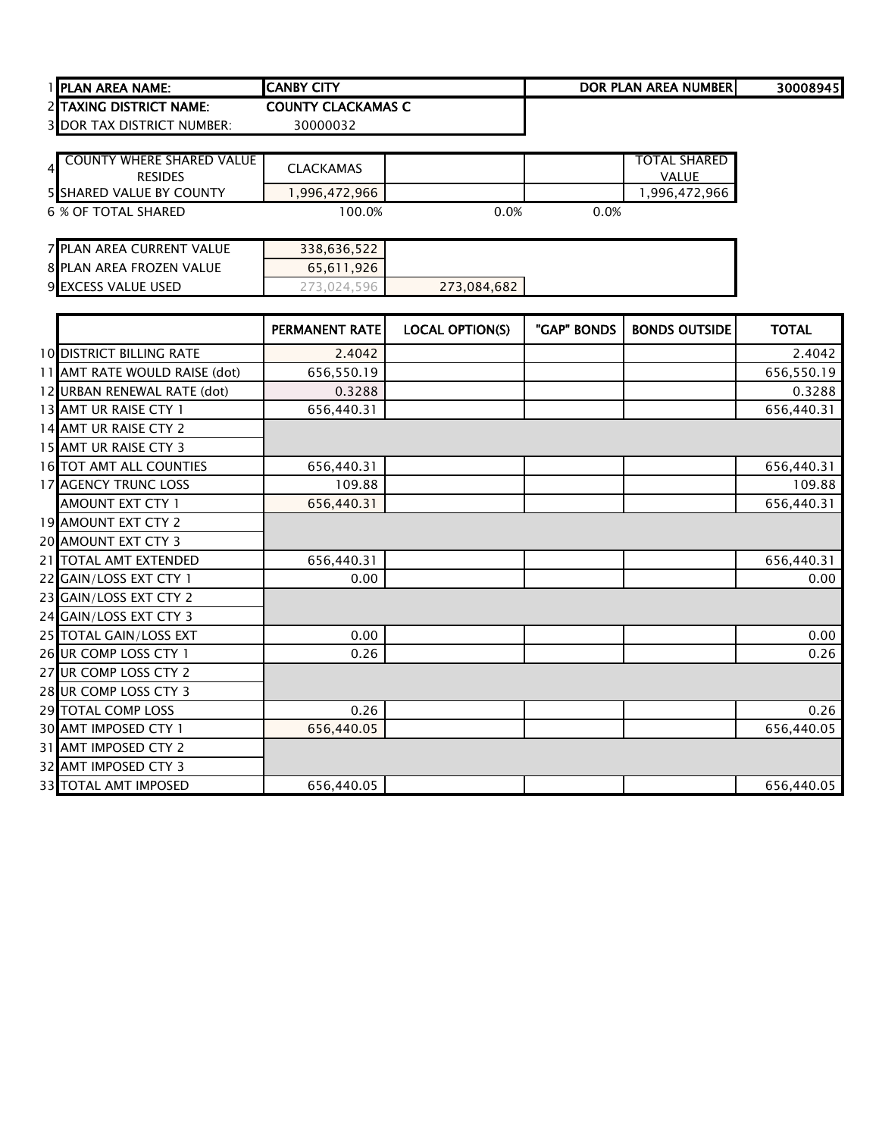| <b>IPLAN AREA NAME:</b>           | <b>CANBY CITY</b>         |      |      | DOR PLAN AREA NUMBERI | 30008945 |
|-----------------------------------|---------------------------|------|------|-----------------------|----------|
| <b>2 ITAXING DISTRICT NAME:</b>   | <b>COUNTY CLACKAMAS C</b> |      |      |                       |          |
| <b>3 DOR TAX DISTRICT NUMBER:</b> | 30000032                  |      |      |                       |          |
| <b>COUNTY WHERE SHARED VALUE</b>  | <b>CLACKAMAS</b>          |      |      | <b>TOTAL SHARED</b>   |          |
| <b>RESIDES</b>                    |                           |      |      | <b>VALUE</b>          |          |
| <b>5 SHARED VALUE BY COUNTY</b>   | 1,996,472,966             |      |      | 1,996,472,966         |          |
| 6 % OF TOTAL SHARED               | 100.0%                    | 0.0% | 0.0% |                       |          |
| <b>7 PLAN AREA CURRENT VALUE</b>  | 338,636,522               |      |      |                       |          |
| 8 PLAN AREA FROZEN VALUE          | 65.611.926                |      |      |                       |          |

**EXCESS VALUE USED** 273,024,596 **273,084,682** 

|                                 | PERMANENT RATE | <b>LOCAL OPTION(S)</b> | "GAP" BONDS | <b>BONDS OUTSIDE</b> | <b>TOTAL</b> |
|---------------------------------|----------------|------------------------|-------------|----------------------|--------------|
| <b>10 DISTRICT BILLING RATE</b> | 2.4042         |                        |             |                      | 2.4042       |
| 11 AMT RATE WOULD RAISE (dot)   | 656,550.19     |                        |             |                      | 656,550.19   |
| 12 URBAN RENEWAL RATE (dot)     | 0.3288         |                        |             |                      | 0.3288       |
| 13 AMT UR RAISE CTY 1           | 656,440.31     |                        |             |                      | 656,440.31   |
| 14 AMT UR RAISE CTY 2           |                |                        |             |                      |              |
| 15 AMT UR RAISE CTY 3           |                |                        |             |                      |              |
| <b>16 TOT AMT ALL COUNTIES</b>  | 656,440.31     |                        |             |                      | 656,440.31   |
| 17 AGENCY TRUNC LOSS            | 109.88         |                        |             |                      | 109.88       |
| AMOUNT EXT CTY 1                | 656,440.31     |                        |             |                      | 656,440.31   |
| 19 AMOUNT EXT CTY 2             |                |                        |             |                      |              |
| 20 AMOUNT EXT CTY 3             |                |                        |             |                      |              |
| 21 TOTAL AMT EXTENDED           | 656,440.31     |                        |             |                      | 656,440.31   |
| 22 GAIN/LOSS EXT CTY 1          | 0.00           |                        |             |                      | 0.00         |
| 23 GAIN/LOSS EXT CTY 2          |                |                        |             |                      |              |
| 24 GAIN/LOSS EXT CTY 3          |                |                        |             |                      |              |
| 25 TOTAL GAIN/LOSS EXT          | 0.00           |                        |             |                      | 0.00         |
| 26 UR COMP LOSS CTY 1           | 0.26           |                        |             |                      | 0.26         |
| 27 UR COMP LOSS CTY 2           |                |                        |             |                      |              |
| 28 UR COMP LOSS CTY 3           |                |                        |             |                      |              |
| 29 TOTAL COMP LOSS              | 0.26           |                        |             |                      | 0.26         |
| 30 AMT IMPOSED CTY 1            | 656,440.05     |                        |             |                      | 656,440.05   |
| 31 AMT IMPOSED CTY 2            |                |                        |             |                      |              |
| 32 AMT IMPOSED CTY 3            |                |                        |             |                      |              |
| 33 TOTAL AMT IMPOSED            | 656,440.05     |                        |             |                      | 656,440.05   |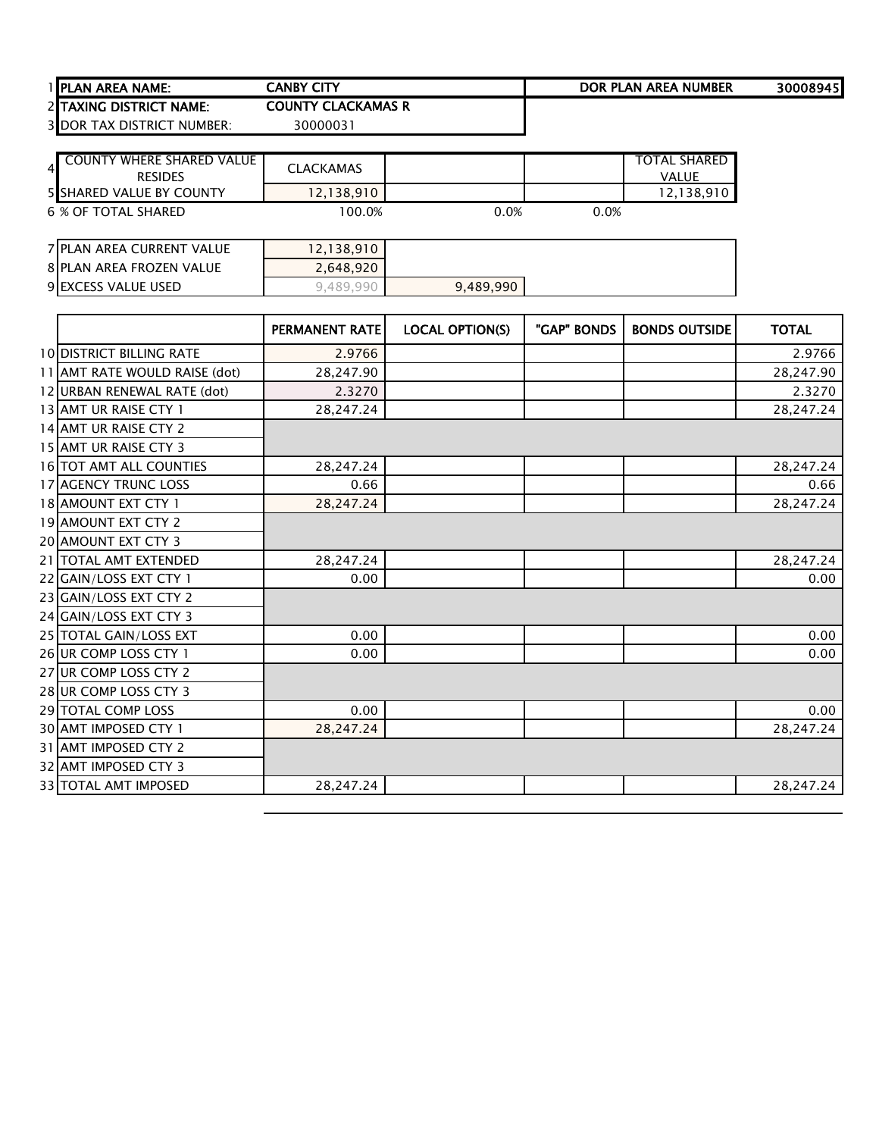| 1 IPLAN AREA NAME:                | <b>CANBY CITY</b>         | DOR PLAN AREA NUMBER | 30008945 |
|-----------------------------------|---------------------------|----------------------|----------|
| 2 ITAXING DISTRICT NAME:          | <b>COUNTY CLACKAMAS R</b> |                      |          |
| <b>3 DOR TAX DISTRICT NUMBER:</b> | 3000003                   |                      |          |

| <b>COUNTY WHERE SHARED VALUE</b><br>$\overline{4}$<br><b>RESIDES</b> | <b>CLACKAMAS</b> |      |      | <b>TOTAL SHARED</b><br><b>VALUE</b> |
|----------------------------------------------------------------------|------------------|------|------|-------------------------------------|
| <b>5 SHARED VALUE BY COUNTY</b>                                      | 12,138,910       |      |      | 12,138,910                          |
| 6 % OF TOTAL SHARED                                                  | 100.0%           | 0.0% | 0.0% |                                     |
| 7 PLAN AREA CURRENT VALUE                                            | 12,138,910       |      |      |                                     |
| 8 PLAN AREA FROZEN VALUE                                             | 2,648,920        |      |      |                                     |

DOR TAX DISTRICT NUMBER: 30000031

9 EXCESS VALUE USED **9,489,990** 9,489,990

|                                 | <b>PERMANENT RATE</b> | <b>LOCAL OPTION(S)</b> | "GAP" BONDS | <b>BONDS OUTSIDE</b> | <b>TOTAL</b> |
|---------------------------------|-----------------------|------------------------|-------------|----------------------|--------------|
| <b>10 DISTRICT BILLING RATE</b> | 2.9766                |                        |             |                      | 2.9766       |
| 11 AMT RATE WOULD RAISE (dot)   | 28,247.90             |                        |             |                      | 28,247.90    |
| 12 URBAN RENEWAL RATE (dot)     | 2.3270                |                        |             |                      | 2.3270       |
| 13 AMT UR RAISE CTY 1           | 28,247.24             |                        |             |                      | 28,247.24    |
| 14 AMT UR RAISE CTY 2           |                       |                        |             |                      |              |
| 15 AMT UR RAISE CTY 3           |                       |                        |             |                      |              |
| 16 TOT AMT ALL COUNTIES         | 28,247.24             |                        |             |                      | 28,247.24    |
| <b>17 AGENCY TRUNC LOSS</b>     | 0.66                  |                        |             |                      | 0.66         |
| 18 AMOUNT EXT CTY 1             | 28,247.24             |                        |             |                      | 28,247.24    |
| 19 AMOUNT EXT CTY 2             |                       |                        |             |                      |              |
| 20 AMOUNT EXT CTY 3             |                       |                        |             |                      |              |
| 21 TOTAL AMT EXTENDED           | 28,247.24             |                        |             |                      | 28,247.24    |
| 22 GAIN/LOSS EXT CTY 1          | 0.00                  |                        |             |                      | 0.00         |
| 23 GAIN/LOSS EXT CTY 2          |                       |                        |             |                      |              |
| 24 GAIN/LOSS EXT CTY 3          |                       |                        |             |                      |              |
| 25 TOTAL GAIN/LOSS EXT          | 0.00                  |                        |             |                      | 0.00         |
| 26 UR COMP LOSS CTY 1           | 0.00                  |                        |             |                      | 0.00         |
| 27 UR COMP LOSS CTY 2           |                       |                        |             |                      |              |
| 28 UR COMP LOSS CTY 3           |                       |                        |             |                      |              |
| 29 TOTAL COMP LOSS              | 0.00                  |                        |             |                      | 0.00         |
| 30 AMT IMPOSED CTY 1            | 28,247.24             |                        |             |                      | 28,247.24    |
| 31 AMT IMPOSED CTY 2            |                       |                        |             |                      |              |
| 32 AMT IMPOSED CTY 3            |                       |                        |             |                      |              |
| 33 TOTAL AMT IMPOSED            | 28,247.24             |                        |             |                      | 28,247.24    |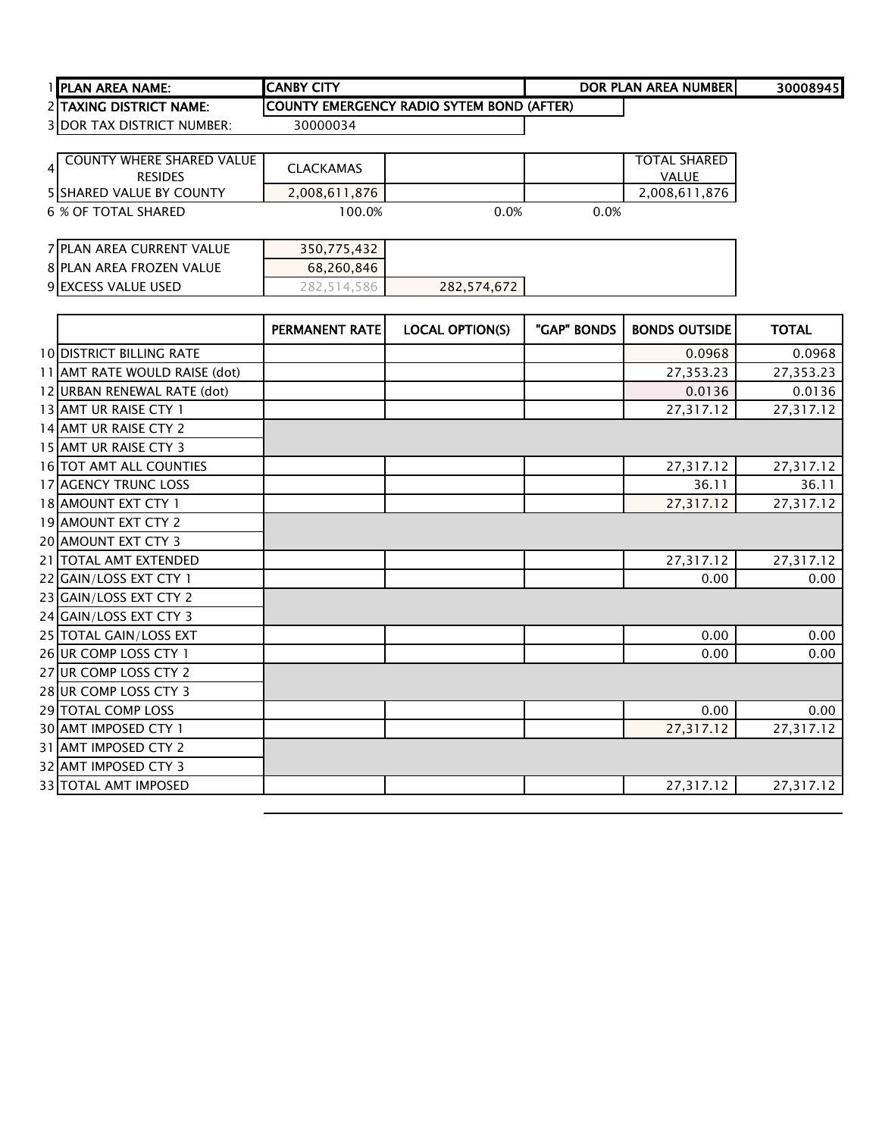| I IPLAN AREA NAME:                    | <b>CANBY CITY</b>                          | DOR PLAN AREA NUMBERI | 30008945 |
|---------------------------------------|--------------------------------------------|-----------------------|----------|
| <b>2 ITAXING DISTRICT NAME:</b>       | ICOUNTY EMERGENCY RADIO SYTEM BOND (AFTER) |                       |          |
| <b>3 IDOR TAX DISTRICT</b><br>MUMBER: | 30000034                                   |                       |          |

| <b>COUNTY WHERE SHARED VALUE</b><br>4<br><b>RESIDES</b> | <b>CLACKAMAS</b> |      |      | <b>TOTAL SHARED</b><br><b>VALUE</b> |
|---------------------------------------------------------|------------------|------|------|-------------------------------------|
| <b>5 SHARED VALUE BY COUNTY</b>                         | 2,008,611,876    |      |      | 2,008,611,876                       |
| 6 % OF TOTAL SHARED                                     | 100.0%           | 0.0% | 0.0% |                                     |

| 7 PLAN AREA CURRENT VALUE | 350,775,432 |             |  |
|---------------------------|-------------|-------------|--|
| 8 PLAN AREA FROZEN VALUE  | 68,260,846  |             |  |
| 9 EXCESS VALUE USED       | 282.514.586 | 282,574,672 |  |

|                                 | PERMANENT RATE | <b>LOCAL OPTION(S)</b> | "GAP" BONDS | <b>BONDS OUTSIDE</b> | <b>TOTAL</b> |
|---------------------------------|----------------|------------------------|-------------|----------------------|--------------|
| <b>10 DISTRICT BILLING RATE</b> |                |                        |             | 0.0968               | 0.0968       |
| 11 AMT RATE WOULD RAISE (dot)   |                |                        |             | 27,353.23            | 27,353.23    |
| 12 URBAN RENEWAL RATE (dot)     |                |                        |             | 0.0136               | 0.0136       |
| 13 AMT UR RAISE CTY 1           |                |                        |             | 27,317.12            | 27,317.12    |
| 14 AMT UR RAISE CTY 2           |                |                        |             |                      |              |
| 15 AMT UR RAISE CTY 3           |                |                        |             |                      |              |
| <b>16 TOT AMT ALL COUNTIES</b>  |                |                        |             | 27,317.12            | 27,317.12    |
| 17 AGENCY TRUNC LOSS            |                |                        |             | 36.11                | 36.11        |
| 18 AMOUNT EXT CTY 1             |                |                        |             | 27,317.12            | 27,317.12    |
| 19 AMOUNT EXT CTY 2             |                |                        |             |                      |              |
| <b>20 AMOUNT EXT CTY 3</b>      |                |                        |             |                      |              |
| 21 TOTAL AMT EXTENDED           |                |                        |             | 27,317.12            | 27,317.12    |
| 22 GAIN/LOSS EXT CTY 1          |                |                        |             | 0.00                 | 0.00         |
| 23 GAIN/LOSS EXT CTY 2          |                |                        |             |                      |              |
| 24 GAIN/LOSS EXT CTY 3          |                |                        |             |                      |              |
| 25 TOTAL GAIN/LOSS EXT          |                |                        |             | 0.00                 | 0.00         |
| 26 UR COMP LOSS CTY 1           |                |                        |             | 0.00                 | 0.00         |
| 27 UR COMP LOSS CTY 2           |                |                        |             |                      |              |
| 28 UR COMP LOSS CTY 3           |                |                        |             |                      |              |
| 29 TOTAL COMP LOSS              |                |                        |             | 0.00                 | 0.00         |
| 30 AMT IMPOSED CTY 1            |                |                        |             | 27,317.12            | 27,317.12    |
| 31 AMT IMPOSED CTY 2            |                |                        |             |                      |              |
| 32 AMT IMPOSED CTY 3            |                |                        |             |                      |              |
| 33 TOTAL AMT IMPOSED            |                |                        |             | 27,317.12            | 27,317.12    |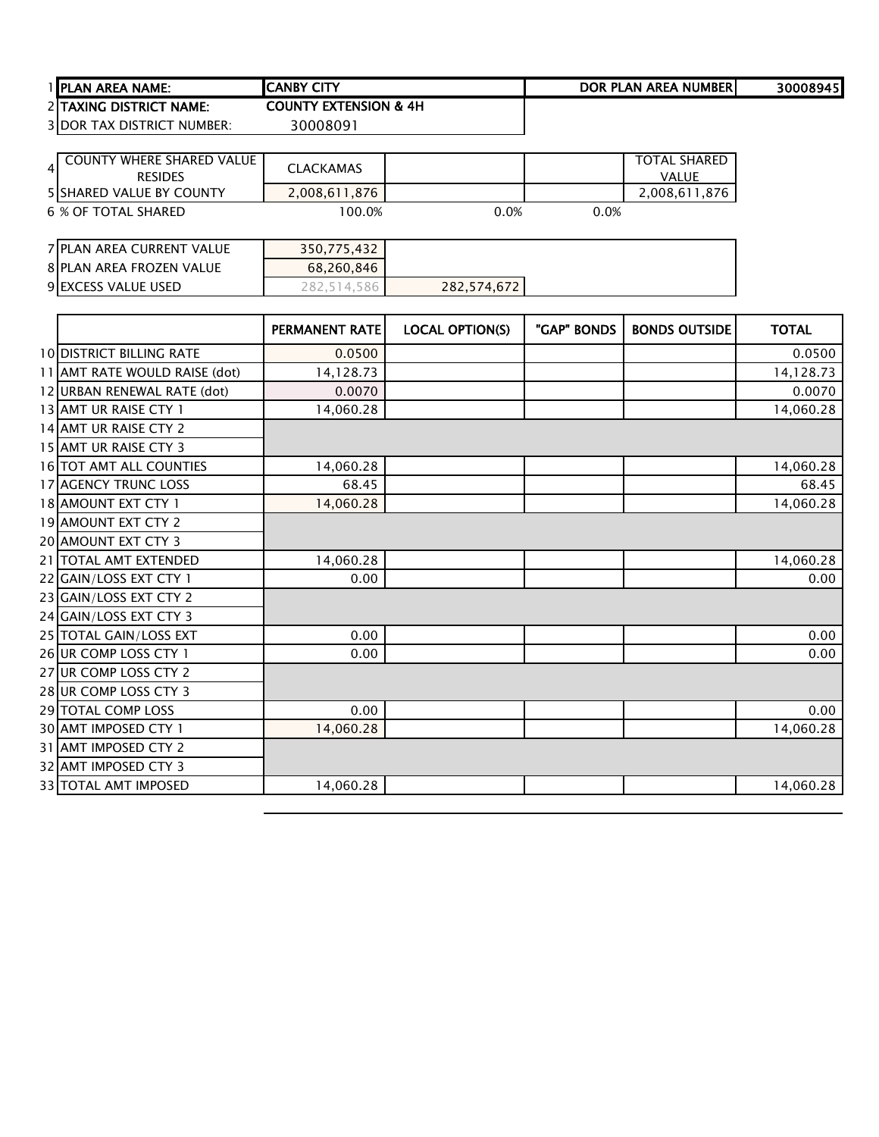|   | 1 PLAN AREA NAME:                                  | <b>CANBY CITY</b>                |                        |             | <b>DOR PLAN AREA NUMBER</b>         | 30008945     |
|---|----------------------------------------------------|----------------------------------|------------------------|-------------|-------------------------------------|--------------|
|   | 2 TAXING DISTRICT NAME:                            | <b>COUNTY EXTENSION &amp; 4H</b> |                        |             |                                     |              |
|   | <b>3 DOR TAX DISTRICT NUMBER:</b>                  | 30008091                         |                        |             |                                     |              |
|   |                                                    |                                  |                        |             |                                     |              |
| 4 | <b>COUNTY WHERE SHARED VALUE</b><br><b>RESIDES</b> | <b>CLACKAMAS</b>                 |                        |             | <b>TOTAL SHARED</b><br><b>VALUE</b> |              |
|   | 5 SHARED VALUE BY COUNTY                           | 2,008,611,876                    |                        |             | 2,008,611,876                       |              |
|   | 6 % OF TOTAL SHARED                                | 100.0%                           | 0.0%                   | 0.0%        |                                     |              |
|   |                                                    |                                  |                        |             |                                     |              |
|   | <b>7 PLAN AREA CURRENT VALUE</b>                   | 350,775,432                      |                        |             |                                     |              |
|   | <b>8 PLAN AREA FROZEN VALUE</b>                    | 68,260,846                       |                        |             |                                     |              |
|   | 9 EXCESS VALUE USED                                | 282,514,586                      | 282,574,672            |             |                                     |              |
|   |                                                    |                                  |                        |             |                                     |              |
|   |                                                    | <b>PERMANENT RATE</b>            | <b>LOCAL OPTION(S)</b> | "GAP" BONDS | <b>BONDS OUTSIDE</b>                | <b>TOTAL</b> |
|   | <b>10 DISTRICT BILLING RATE</b>                    | 0.0500                           |                        |             |                                     | 0.0500       |
|   | 11 AMT RATE WOULD RAISE (dot)                      | 14,128.73                        |                        |             |                                     | 14,128.73    |
|   | 12 URBAN RENEWAL RATE (dot)                        | 0.0070                           |                        |             |                                     | 0.0070       |
|   | 13 AMT UR RAISE CTY 1                              | 14,060.28                        |                        |             |                                     | 14,060.28    |
|   | 14 AMT UR RAISE CTY 2                              |                                  |                        |             |                                     |              |
|   | 15 AMT UR RAISE CTY 3                              |                                  |                        |             |                                     |              |
|   | <b>16 TOT AMT ALL COUNTIES</b>                     | 14,060.28                        |                        |             |                                     | 14,060.28    |
|   | <b>17 AGENCY TRUNC LOSS</b>                        | 68.45                            |                        |             |                                     | 68.45        |
|   | 18 AMOUNT EXT CTY 1                                | 14,060.28                        |                        |             |                                     | 14,060.28    |
|   | 19 AMOUNT EXT CTY 2                                |                                  |                        |             |                                     |              |
|   | 20 AMOUNT EXT CTY 3                                |                                  |                        |             |                                     |              |
|   |                                                    |                                  |                        |             |                                     |              |
|   | 21   TOTAL AMT EXTENDED                            | 14,060.28                        |                        |             |                                     | 14,060.28    |

25 TOTAL GAIN/LOSS EXT 0.00 0.00 0.00 0.00 0.00 26 UR COMP LOSS CTY 1 0.00 0.00 0.00 0.00 0.00 0.00

29 TOTAL COMP LOSS 0.00 0.00 0.00 0.00 0.00 0.00 30 AMT IMPOSED CTY 1 14,060.28 14,060.28

33 TOTAL AMT IMPOSED 14,060.28 14,060.28

 GAIN/LOSS EXT CTY 2 GAIN/LOSS EXT CTY 3

 UR COMP LOSS CTY 2 UR COMP LOSS CTY 3

 AMT IMPOSED CTY 2 AMT IMPOSED CTY 3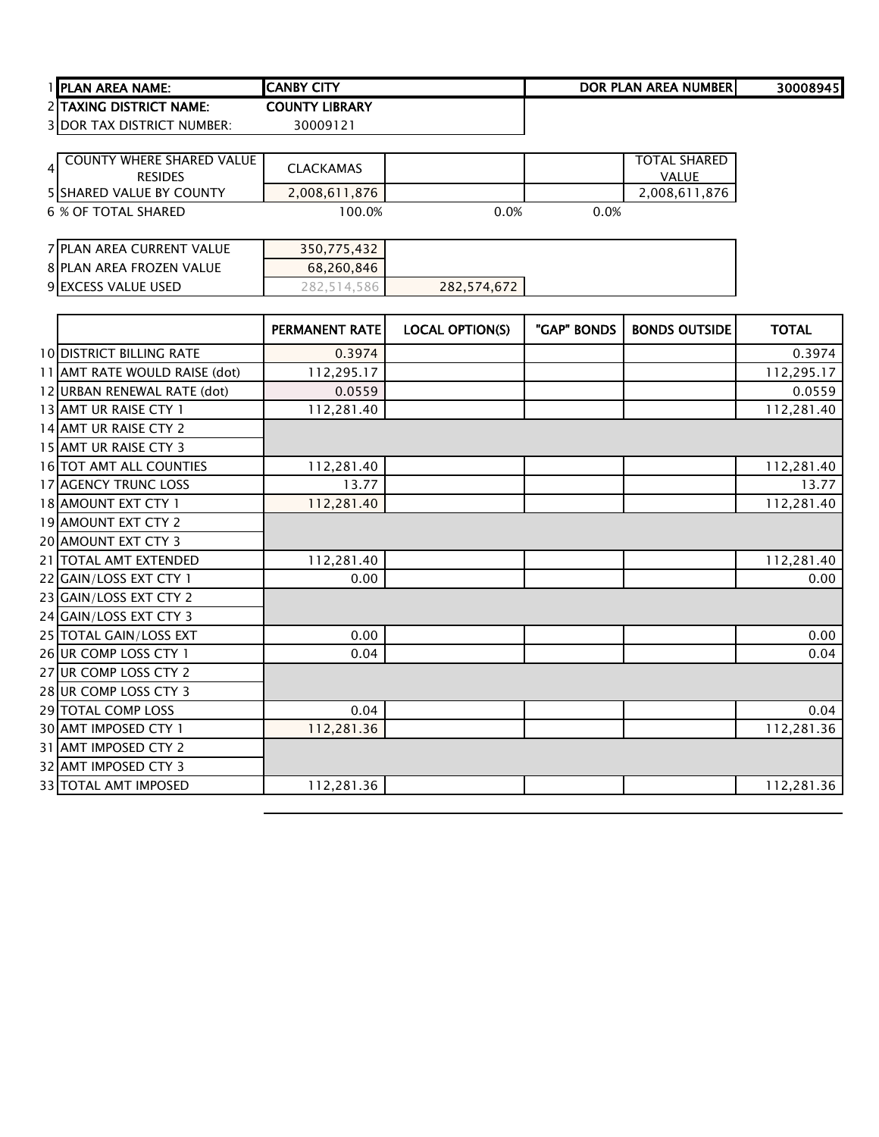| 1 IPLAN AREA NAME:                | <b>ICANBY CITY</b>    | DOR PLAN AREA NUMBERI | 30008945 |
|-----------------------------------|-----------------------|-----------------------|----------|
| 2 ITAXING DISTRICT NAME:          | <b>COUNTY LIBRARY</b> |                       |          |
| <b>3 DOR TAX DISTRICT NUMBER:</b> | 30009121              |                       |          |

| COUNTY WHERE SHARED VALUE<br>4<br><b>RESIDES</b>       | <b>CLACKAMAS</b>        |      |      | <b>TOTAL SHARED</b><br><b>VALUE</b> |
|--------------------------------------------------------|-------------------------|------|------|-------------------------------------|
| <b>5 SHARED VALUE BY COUNTY</b><br>6 % OF TOTAL SHARED | 2,008,611,876<br>100.0% | 0.0% | 0.0% | 2,008,611,876                       |
| 7 PLAN AREA CURRENT VALUE                              | 350,775,432             |      |      |                                     |

| 8 PLAN AREA FROZEN VALUE | 68,260,846 |             |  |
|--------------------------|------------|-------------|--|
| 9 EXCESS VALUE USED      | 4          | 282,574,672 |  |

|                               | <b>PERMANENT RATE</b> | <b>LOCAL OPTION(S)</b> | "GAP" BONDS | <b>BONDS OUTSIDE</b> | <b>TOTAL</b> |
|-------------------------------|-----------------------|------------------------|-------------|----------------------|--------------|
| 10 DISTRICT BILLING RATE      | 0.3974                |                        |             |                      | 0.3974       |
| 11 AMT RATE WOULD RAISE (dot) | 112,295.17            |                        |             |                      | 112,295.17   |
| 12 URBAN RENEWAL RATE (dot)   | 0.0559                |                        |             |                      | 0.0559       |
| 13 AMT UR RAISE CTY 1         | 112,281.40            |                        |             |                      | 112,281.40   |
| 14 AMT UR RAISE CTY 2         |                       |                        |             |                      |              |
| 15 AMT UR RAISE CTY 3         |                       |                        |             |                      |              |
| 16 TOT AMT ALL COUNTIES       | 112,281.40            |                        |             |                      | 112,281.40   |
| 17 AGENCY TRUNC LOSS          | 13.77                 |                        |             |                      | 13.77        |
| 18 AMOUNT EXT CTY 1           | 112,281.40            |                        |             |                      | 112,281.40   |
| 19 AMOUNT EXT CTY 2           |                       |                        |             |                      |              |
| 20 AMOUNT EXT CTY 3           |                       |                        |             |                      |              |
| 21 TOTAL AMT EXTENDED         | 112,281.40            |                        |             |                      | 112,281.40   |
| 22 GAIN/LOSS EXT CTY 1        | 0.00                  |                        |             |                      | 0.00         |
| 23 GAIN/LOSS EXT CTY 2        |                       |                        |             |                      |              |
| 24 GAIN/LOSS EXT CTY 3        |                       |                        |             |                      |              |
| 25 TOTAL GAIN/LOSS EXT        | 0.00                  |                        |             |                      | 0.00         |
| 26 UR COMP LOSS CTY 1         | 0.04                  |                        |             |                      | 0.04         |
| 27 UR COMP LOSS CTY 2         |                       |                        |             |                      |              |
| 28 UR COMP LOSS CTY 3         |                       |                        |             |                      |              |
| 29 TOTAL COMP LOSS            | 0.04                  |                        |             |                      | 0.04         |
| 30 AMT IMPOSED CTY 1          | 112,281.36            |                        |             |                      | 112,281.36   |
| 31 AMT IMPOSED CTY 2          |                       |                        |             |                      |              |
| 32 AMT IMPOSED CTY 3          |                       |                        |             |                      |              |
| 33 TOTAL AMT IMPOSED          | 112,281.36            |                        |             |                      | 112,281.36   |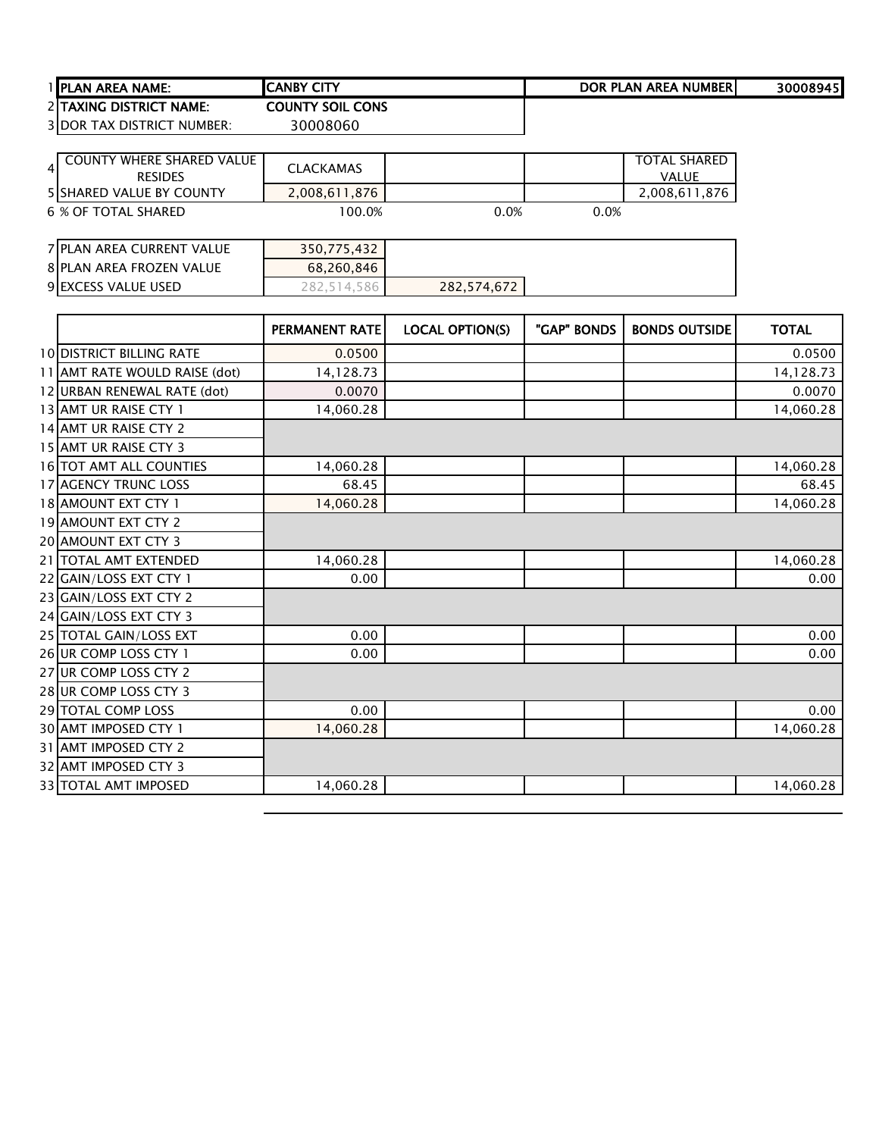| <b>I IPLAN AREA NAME:</b>         | ICANBY CITY             | DOR PLAN AREA NUMBERI | 30008945 |
|-----------------------------------|-------------------------|-----------------------|----------|
| 2 TAXING DISTRICT NAME:           | <b>COUNTY SOIL CONS</b> |                       |          |
| <b>3IDOR TAX DISTRICT NUMBER:</b> | 30008060                |                       |          |

| COUNTY WHERE SHARED VALUE<br><b>RESIDES</b> | <b>CLACKAMAS</b> |      |      | <b>TOTAL SHARED</b><br><b>VALUE</b> |
|---------------------------------------------|------------------|------|------|-------------------------------------|
| <b>5 SHARED VALUE BY COUNTY</b>             | 2,008,611,876    |      |      | 2,008,611,876                       |
| 6 % OF TOTAL SHARED                         | 100.0%           | 0.0% | 0.0% |                                     |
| <b>7 PLAN AREA CURRENT VALUE</b>            | 350,775,432      |      |      |                                     |

| 8 PLAN AREA FROZEN VALUE | 68,260,846 |             |  |
|--------------------------|------------|-------------|--|
| 9 EXCESS VALUE USED      | 514.586    | 282,574,672 |  |

|                                 | <b>PERMANENT RATE</b> | <b>LOCAL OPTION(S)</b> | "GAP" BONDS | <b>BONDS OUTSIDE</b> | <b>TOTAL</b> |
|---------------------------------|-----------------------|------------------------|-------------|----------------------|--------------|
| <b>10 DISTRICT BILLING RATE</b> | 0.0500                |                        |             |                      | 0.0500       |
| 11 AMT RATE WOULD RAISE (dot)   | 14,128.73             |                        |             |                      | 14,128.73    |
| 12 URBAN RENEWAL RATE (dot)     | 0.0070                |                        |             |                      | 0.0070       |
| 13 AMT UR RAISE CTY 1           | 14,060.28             |                        |             |                      | 14,060.28    |
| 14 AMT UR RAISE CTY 2           |                       |                        |             |                      |              |
| 15 AMT UR RAISE CTY 3           |                       |                        |             |                      |              |
| 16 TOT AMT ALL COUNTIES         | 14,060.28             |                        |             |                      | 14,060.28    |
| 17 AGENCY TRUNC LOSS            | 68.45                 |                        |             |                      | 68.45        |
| 18 AMOUNT EXT CTY 1             | 14,060.28             |                        |             |                      | 14,060.28    |
| 19 AMOUNT EXT CTY 2             |                       |                        |             |                      |              |
| 20 AMOUNT EXT CTY 3             |                       |                        |             |                      |              |
| 21 TOTAL AMT EXTENDED           | 14,060.28             |                        |             |                      | 14,060.28    |
| 22 GAIN/LOSS EXT CTY 1          | 0.00                  |                        |             |                      | 0.00         |
| 23 GAIN/LOSS EXT CTY 2          |                       |                        |             |                      |              |
| 24 GAIN/LOSS EXT CTY 3          |                       |                        |             |                      |              |
| 25 TOTAL GAIN/LOSS EXT          | 0.00                  |                        |             |                      | 0.00         |
| 26 UR COMP LOSS CTY 1           | 0.00                  |                        |             |                      | 0.00         |
| 27 UR COMP LOSS CTY 2           |                       |                        |             |                      |              |
| 28 UR COMP LOSS CTY 3           |                       |                        |             |                      |              |
| 29 TOTAL COMP LOSS              | 0.00                  |                        |             |                      | 0.00         |
| 30 AMT IMPOSED CTY 1            | 14,060.28             |                        |             |                      | 14,060.28    |
| 31 AMT IMPOSED CTY 2            |                       |                        |             |                      |              |
| 32 AMT IMPOSED CTY 3            |                       |                        |             |                      |              |
| 33 TOTAL AMT IMPOSED            | 14,060.28             |                        |             |                      | 14,060.28    |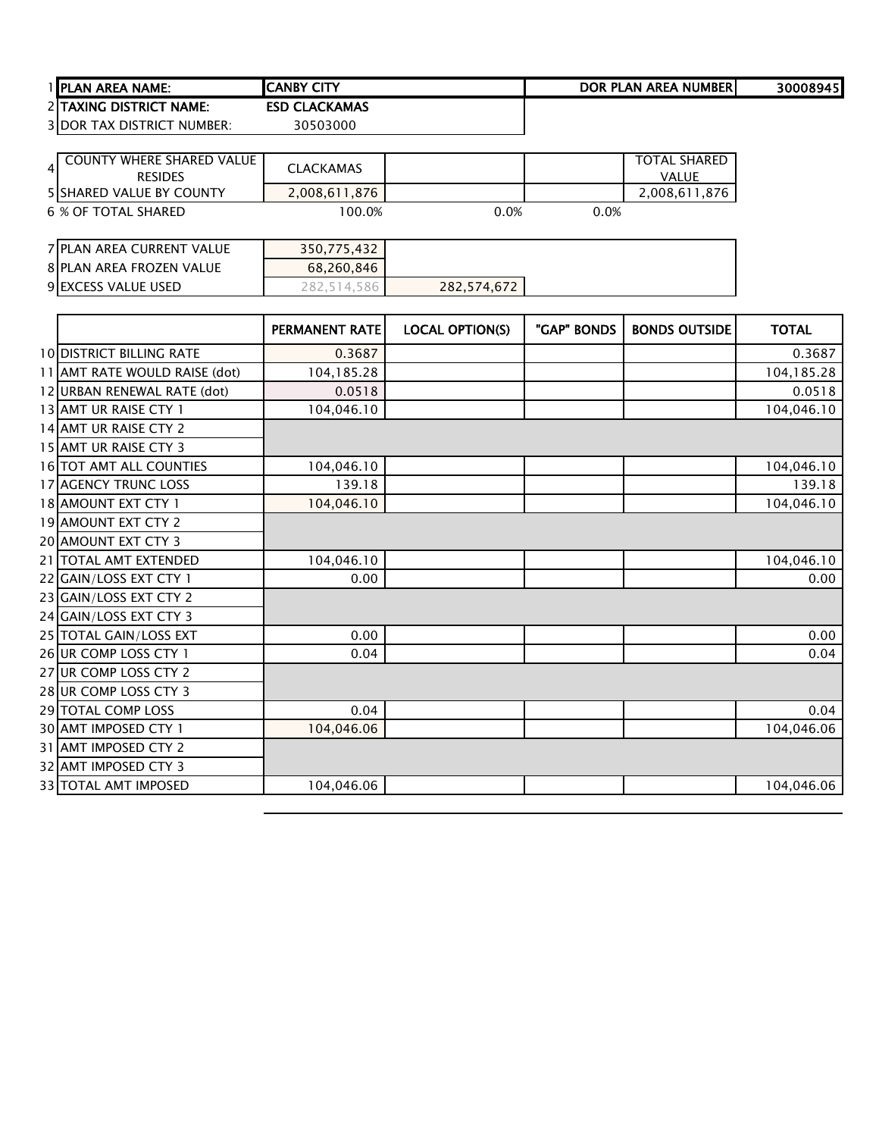| 1 IPLAN AREA NAME:                | <b>ICANBY CITY</b>   | DOR PLAN AREA NUMBERI | 30008945 |
|-----------------------------------|----------------------|-----------------------|----------|
| 2 TAXING DISTRICT NAME:           | <b>ESD CLACKAMAS</b> |                       |          |
| <b>3IDOR TAX DISTRICT NUMBER:</b> | 30503000             |                       |          |

| <b>COUNTY WHERE SHARED VALUE</b><br><b>RESIDES</b> | <b>CLACKAMAS</b> |      |      | <b>TOTAL SHARED</b><br><b>VALUE</b> |
|----------------------------------------------------|------------------|------|------|-------------------------------------|
| 5 SHARED VALUE BY COUNTY                           | 2,008,611,876    |      |      | 2,008,611,876                       |
| 6 % OF TOTAL SHARED                                | 100.0%           | 0.0% | 0.0% |                                     |
| 7 PLAN AREA CURRENT VALUE                          | 350,775,432      |      |      |                                     |

| 8 PLAN AREA FROZEN VALUE | 68.260.846 |             |  |
|--------------------------|------------|-------------|--|
| 9 EXCESS VALUE USED      | 14.586     | 282,574,672 |  |

|                                 | PERMANENT RATE | <b>LOCAL OPTION(S)</b> | "GAP" BONDS | <b>BONDS OUTSIDE</b> | <b>TOTAL</b> |
|---------------------------------|----------------|------------------------|-------------|----------------------|--------------|
| <b>10 DISTRICT BILLING RATE</b> | 0.3687         |                        |             |                      | 0.3687       |
| 11 AMT RATE WOULD RAISE (dot)   | 104,185.28     |                        |             |                      | 104,185.28   |
| 12 URBAN RENEWAL RATE (dot)     | 0.0518         |                        |             |                      | 0.0518       |
| 13 AMT UR RAISE CTY 1           | 104,046.10     |                        |             |                      | 104,046.10   |
| 14 AMT UR RAISE CTY 2           |                |                        |             |                      |              |
| 15 AMT UR RAISE CTY 3           |                |                        |             |                      |              |
| 16 TOT AMT ALL COUNTIES         | 104,046.10     |                        |             |                      | 104,046.10   |
| 17 AGENCY TRUNC LOSS            | 139.18         |                        |             |                      | 139.18       |
| 18 AMOUNT EXT CTY 1             | 104,046.10     |                        |             |                      | 104,046.10   |
| 19 AMOUNT EXT CTY 2             |                |                        |             |                      |              |
| 20 AMOUNT EXT CTY 3             |                |                        |             |                      |              |
| 21 TOTAL AMT EXTENDED           | 104,046.10     |                        |             |                      | 104,046.10   |
| 22 GAIN/LOSS EXT CTY 1          | 0.00           |                        |             |                      | 0.00         |
| 23 GAIN/LOSS EXT CTY 2          |                |                        |             |                      |              |
| 24 GAIN/LOSS EXT CTY 3          |                |                        |             |                      |              |
| 25 TOTAL GAIN/LOSS EXT          | 0.00           |                        |             |                      | 0.00         |
| 26 UR COMP LOSS CTY 1           | 0.04           |                        |             |                      | 0.04         |
| 27 UR COMP LOSS CTY 2           |                |                        |             |                      |              |
| 28 UR COMP LOSS CTY 3           |                |                        |             |                      |              |
| 29 TOTAL COMP LOSS              | 0.04           |                        |             |                      | 0.04         |
| 30 AMT IMPOSED CTY 1            | 104,046.06     |                        |             |                      | 104,046.06   |
| 31 AMT IMPOSED CTY 2            |                |                        |             |                      |              |
| 32 AMT IMPOSED CTY 3            |                |                        |             |                      |              |
| 33 TOTAL AMT IMPOSED            | 104,046.06     |                        |             |                      | 104,046.06   |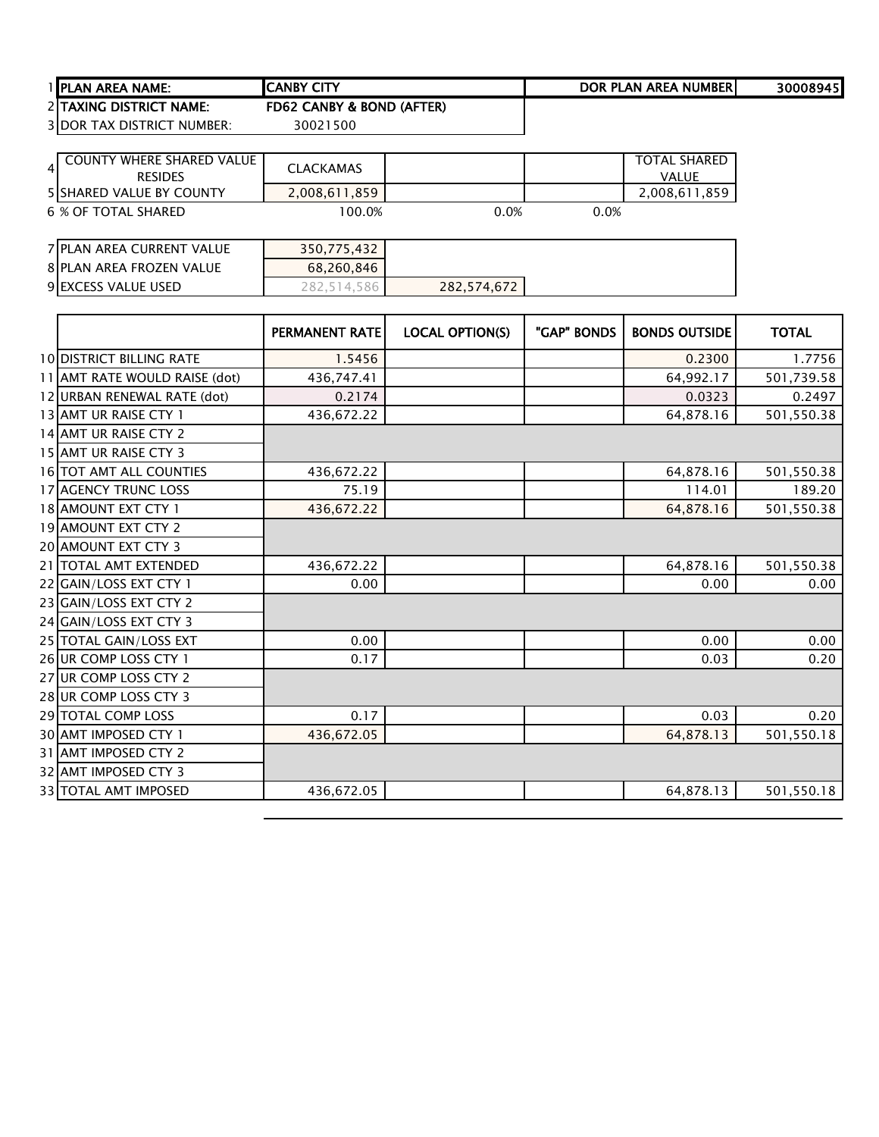| I IPLAN AREA NAME:      | <b>CITY</b><br>.CANBY                    | DOR PLAN AREA NUMBERI | 30008945 |
|-------------------------|------------------------------------------|-----------------------|----------|
| 2 TAXING DISTRICT NAME: | ' & BOND (AFTER)<br><b>CANBY</b><br>FD62 |                       |          |

DOR TAX DISTRICT NUMBER: 30021500

| <b>COUNTY WHERE SHARED VALUE</b><br>$\overline{\mathbf{A}}$<br><b>RESIDES</b> | <b>CLACKAMAS</b> |             |      | <b>TOTAL SHARED</b><br><b>VALUE</b> |
|-------------------------------------------------------------------------------|------------------|-------------|------|-------------------------------------|
| <b>5 SHARED VALUE BY COUNTY</b>                                               | 2,008,611,859    |             |      | 2,008,611,859                       |
| 6 % OF TOTAL SHARED                                                           | 100.0%           | 0.0%        | 0.0% |                                     |
|                                                                               |                  |             |      |                                     |
| <b>7 PLAN AREA CURRENT VALUE</b>                                              | 350,775,432      |             |      |                                     |
| <b>8 PLAN AREA FROZEN VALUE</b>                                               | 68,260,846       |             |      |                                     |
| 9 EXCESS VALUE USED                                                           | 282.514.586      | 282,574,672 |      |                                     |

|                                 | PERMANENT RATE | <b>LOCAL OPTION(S)</b> | "GAP" BONDS | <b>BONDS OUTSIDE</b> | <b>TOTAL</b> |
|---------------------------------|----------------|------------------------|-------------|----------------------|--------------|
| <b>10 DISTRICT BILLING RATE</b> | 1.5456         |                        |             | 0.2300               | 1.7756       |
| 11 AMT RATE WOULD RAISE (dot)   | 436,747.41     |                        |             | 64,992.17            | 501,739.58   |
| 12 URBAN RENEWAL RATE (dot)     | 0.2174         |                        |             | 0.0323               | 0.2497       |
| 13 AMT UR RAISE CTY 1           | 436,672.22     |                        |             | 64,878.16            | 501,550.38   |
| 14 AMT UR RAISE CTY 2           |                |                        |             |                      |              |
| 15 AMT UR RAISE CTY 3           |                |                        |             |                      |              |
| 16 TOT AMT ALL COUNTIES         | 436,672.22     |                        |             | 64,878.16            | 501,550.38   |
| 17 AGENCY TRUNC LOSS            | 75.19          |                        |             | 114.01               | 189.20       |
| 18 AMOUNT EXT CTY 1             | 436,672.22     |                        |             | 64,878.16            | 501,550.38   |
| 19 AMOUNT EXT CTY 2             |                |                        |             |                      |              |
| 20 AMOUNT EXT CTY 3             |                |                        |             |                      |              |
| 21 TOTAL AMT EXTENDED           | 436,672.22     |                        |             | 64,878.16            | 501,550.38   |
| 22 GAIN/LOSS EXT CTY 1          | 0.00           |                        |             | 0.00                 | 0.00         |
| 23 GAIN/LOSS EXT CTY 2          |                |                        |             |                      |              |
| 24 GAIN/LOSS EXT CTY 3          |                |                        |             |                      |              |
| 25 TOTAL GAIN/LOSS EXT          | 0.00           |                        |             | 0.00                 | 0.00         |
| 26 UR COMP LOSS CTY 1           | 0.17           |                        |             | 0.03                 | 0.20         |
| 27 UR COMP LOSS CTY 2           |                |                        |             |                      |              |
| 28 UR COMP LOSS CTY 3           |                |                        |             |                      |              |
| 29 TOTAL COMP LOSS              | 0.17           |                        |             | 0.03                 | 0.20         |
| 30 AMT IMPOSED CTY 1            | 436,672.05     |                        |             | 64,878.13            | 501,550.18   |
| 31 AMT IMPOSED CTY 2            |                |                        |             |                      |              |
| 32 AMT IMPOSED CTY 3            |                |                        |             |                      |              |
| 33 TOTAL AMT IMPOSED            | 436,672.05     |                        |             | 64,878.13            | 501,550.18   |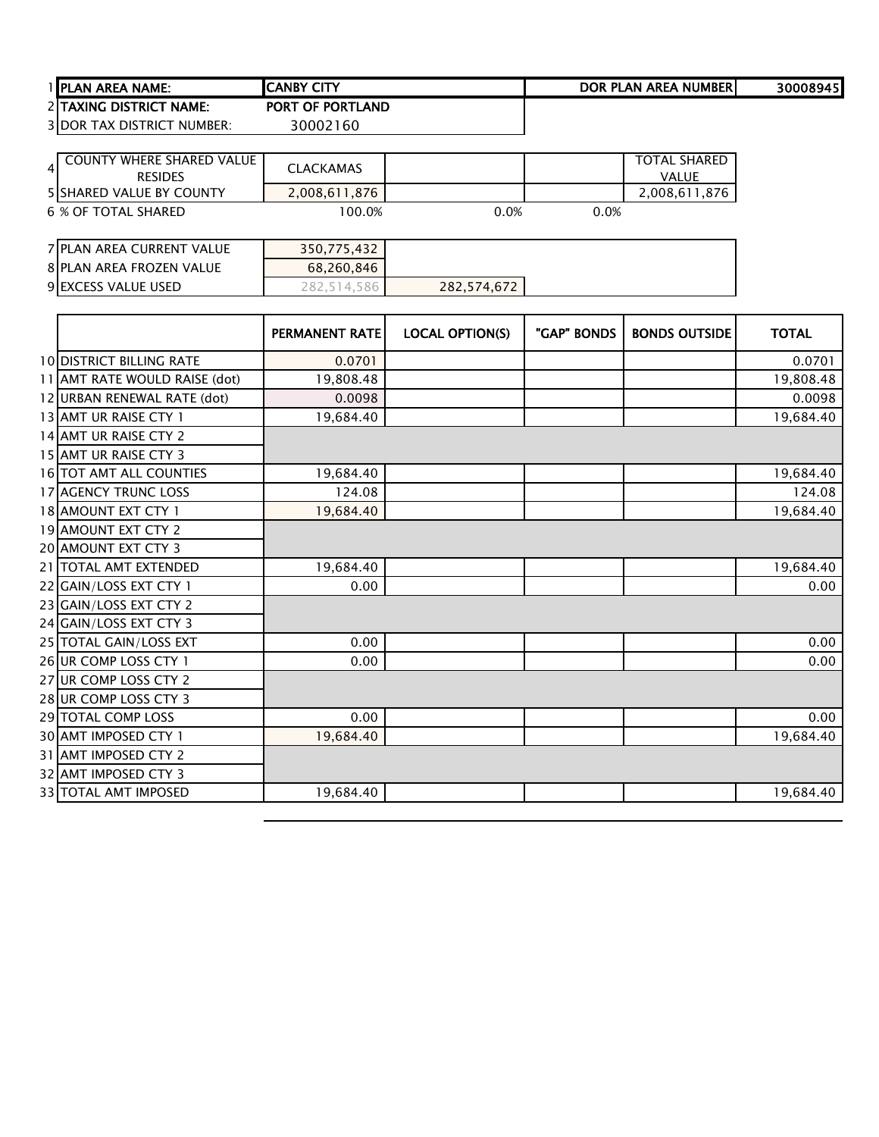| I IPLAN AREA NAME: I              | <b>ICANBY CITY</b>      | DOR PLAN AREA NUMBER | 30008945 |
|-----------------------------------|-------------------------|----------------------|----------|
| 2 ITAXING DISTRICT NAME:          | <b>PORT OF PORTLAND</b> |                      |          |
| <b>3IDOR TAX DISTRICT NUMBER:</b> | 30002160                |                      |          |

| <b>COUNTY WHERE SHARED VALUE</b><br><b>RESIDES</b> | <b>CLACKAMAS</b> |      |      | <b>TOTAL SHARED</b><br><b>VALUE</b> |
|----------------------------------------------------|------------------|------|------|-------------------------------------|
| <b>5 ISHARED VALUE BY COUNTY</b>                   | 2,008,611,876    |      |      | 2,008,611,876                       |
| 6 % OF TOTAL SHARED                                | 100.0%           | 0.0% | 0.0% |                                     |
|                                                    |                  |      |      |                                     |
| 7 PLAN AREA CURRENT VALUE                          | 350,775,432      |      |      |                                     |
| 8 PLAN AREA FROZEN VALUE                           | 68,260,846       |      |      |                                     |

**EXCESS VALUE USED** 282,514,586 282,574,672

|                               | PERMANENT RATE | <b>LOCAL OPTION(S)</b> | "GAP" BONDS | <b>BONDS OUTSIDE</b> | <b>TOTAL</b> |
|-------------------------------|----------------|------------------------|-------------|----------------------|--------------|
| 10 DISTRICT BILLING RATE      | 0.0701         |                        |             |                      | 0.0701       |
| 11 AMT RATE WOULD RAISE (dot) | 19,808.48      |                        |             |                      | 19,808.48    |
| 12 URBAN RENEWAL RATE (dot)   | 0.0098         |                        |             |                      | 0.0098       |
| 13 AMT UR RAISE CTY 1         | 19,684.40      |                        |             |                      | 19,684.40    |
| 14 AMT UR RAISE CTY 2         |                |                        |             |                      |              |
| 15 AMT UR RAISE CTY 3         |                |                        |             |                      |              |
| 16 TOT AMT ALL COUNTIES       | 19,684.40      |                        |             |                      | 19,684.40    |
| <b>17 AGENCY TRUNC LOSS</b>   | 124.08         |                        |             |                      | 124.08       |
| 18 AMOUNT EXT CTY 1           | 19,684.40      |                        |             |                      | 19,684.40    |
| 19 AMOUNT EXT CTY 2           |                |                        |             |                      |              |
| 20 AMOUNT EXT CTY 3           |                |                        |             |                      |              |
| 21 TOTAL AMT EXTENDED         | 19,684.40      |                        |             |                      | 19,684.40    |
| 22 GAIN/LOSS EXT CTY 1        | 0.00           |                        |             |                      | 0.00         |
| 23 GAIN/LOSS EXT CTY 2        |                |                        |             |                      |              |
| 24 GAIN/LOSS EXT CTY 3        |                |                        |             |                      |              |
| 25 TOTAL GAIN/LOSS EXT        | 0.00           |                        |             |                      | 0.00         |
| 26 UR COMP LOSS CTY 1         | 0.00           |                        |             |                      | 0.00         |
| 27 UR COMP LOSS CTY 2         |                |                        |             |                      |              |
| 28 UR COMP LOSS CTY 3         |                |                        |             |                      |              |
| 29 TOTAL COMP LOSS            | 0.00           |                        |             |                      | 0.00         |
| 30 AMT IMPOSED CTY 1          | 19,684.40      |                        |             |                      | 19,684.40    |
| 31 AMT IMPOSED CTY 2          |                |                        |             |                      |              |
| 32 AMT IMPOSED CTY 3          |                |                        |             |                      |              |
| 33 TOTAL AMT IMPOSED          | 19,684.40      |                        |             |                      | 19,684.40    |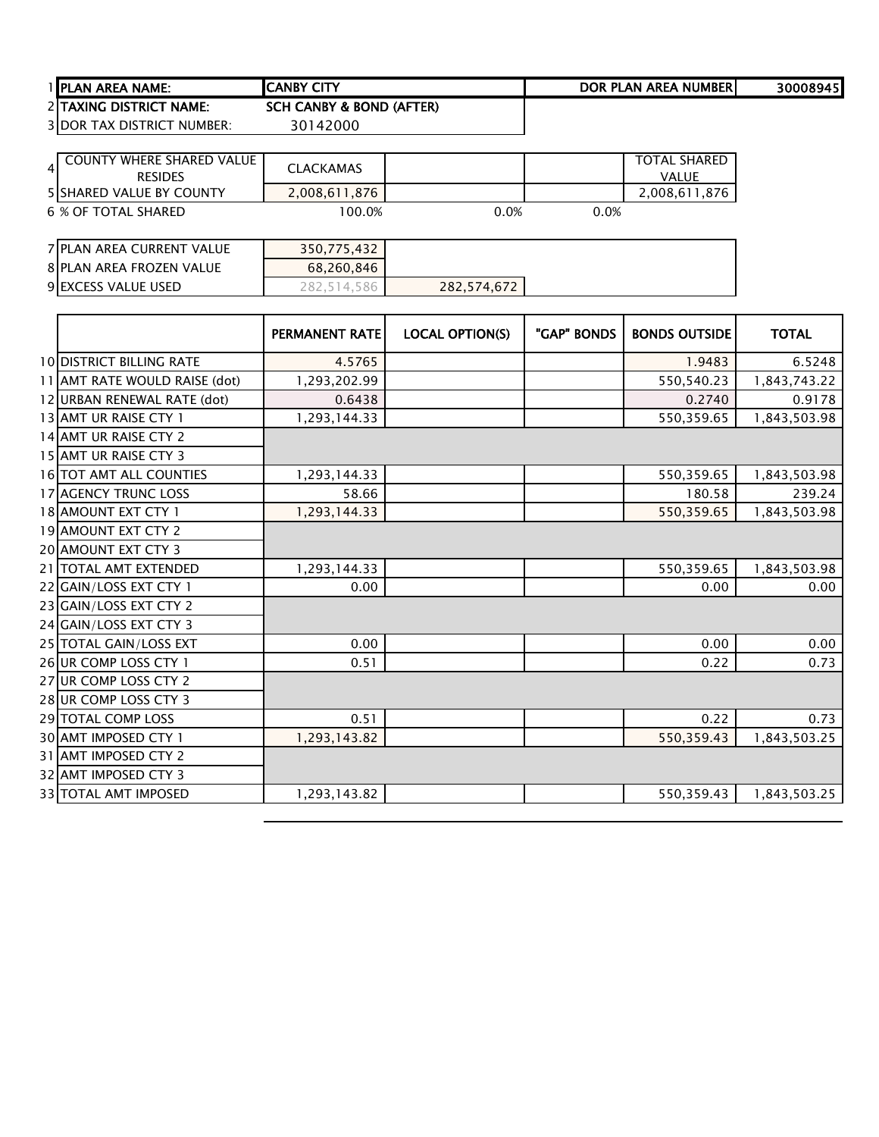| 1 IPLAN AREA NAME:                | <b>ICANBY CITY</b>       | DOR PLAN AREA NUMBER | 30008945 |
|-----------------------------------|--------------------------|----------------------|----------|
| 2 TAXING DISTRICT NAME:           | SCH CANBY & BOND (AFTER) |                      |          |
| <b>3 DOR TAX DISTRICT NUMBER:</b> | 30142000                 |                      |          |

| <b>COUNTY WHERE SHARED VALUE</b><br><b>RESIDES</b><br><b>5 SHARED VALUE BY COUNTY</b> | <b>CLACKAMAS</b><br>2,008,611,876 |      |      | <b>TOTAL SHARED</b><br><b>VALUE</b><br>2,008,611,876 |
|---------------------------------------------------------------------------------------|-----------------------------------|------|------|------------------------------------------------------|
| 6 % OF TOTAL SHARED                                                                   | 100.0%                            | 0.0% | 0.0% |                                                      |
|                                                                                       |                                   |      |      |                                                      |
| 7 PLAN AREA CURRENT VALUE                                                             | 350,775,432                       |      |      |                                                      |
| 8 PLAN AREA FROZEN VALUE                                                              | 68,260,846                        |      |      |                                                      |

**EXCESS VALUE USED** 282,514,586 282,574,672

|                               | <b>PERMANENT RATE</b> | <b>LOCAL OPTION(S)</b> | "GAP" BONDS | <b>BONDS OUTSIDE</b> | <b>TOTAL</b> |
|-------------------------------|-----------------------|------------------------|-------------|----------------------|--------------|
| 10 DISTRICT BILLING RATE      | 4.5765                |                        |             | 1.9483               | 6.5248       |
| 11 AMT RATE WOULD RAISE (dot) | 1,293,202.99          |                        |             | 550,540.23           | 1,843,743.22 |
| 12 URBAN RENEWAL RATE (dot)   | 0.6438                |                        |             | 0.2740               | 0.9178       |
| 13 AMT UR RAISE CTY 1         | 1,293,144.33          |                        |             | 550,359.65           | 1,843,503.98 |
| 14 AMT UR RAISE CTY 2         |                       |                        |             |                      |              |
| 15 AMT UR RAISE CTY 3         |                       |                        |             |                      |              |
| 16 TOT AMT ALL COUNTIES       | 1,293,144.33          |                        |             | 550,359.65           | 1,843,503.98 |
| 17 AGENCY TRUNC LOSS          | 58.66                 |                        |             | 180.58               | 239.24       |
| 18 AMOUNT EXT CTY 1           | 1,293,144.33          |                        |             | 550,359.65           | 1,843,503.98 |
| 19 AMOUNT EXT CTY 2           |                       |                        |             |                      |              |
| 20 AMOUNT EXT CTY 3           |                       |                        |             |                      |              |
| 21 TOTAL AMT EXTENDED         | 1,293,144.33          |                        |             | 550,359.65           | 1,843,503.98 |
| 22 GAIN/LOSS EXT CTY 1        | 0.00                  |                        |             | 0.00                 | 0.00         |
| 23 GAIN/LOSS EXT CTY 2        |                       |                        |             |                      |              |
| 24 GAIN/LOSS EXT CTY 3        |                       |                        |             |                      |              |
| 25 TOTAL GAIN/LOSS EXT        | 0.00                  |                        |             | 0.00                 | 0.00         |
| 26 UR COMP LOSS CTY 1         | 0.51                  |                        |             | 0.22                 | 0.73         |
| 27 UR COMP LOSS CTY 2         |                       |                        |             |                      |              |
| 28 UR COMP LOSS CTY 3         |                       |                        |             |                      |              |
| 29 TOTAL COMP LOSS            | 0.51                  |                        |             | 0.22                 | 0.73         |
| 30 AMT IMPOSED CTY 1          | 1,293,143.82          |                        |             | 550,359.43           | 1,843,503.25 |
| 31 AMT IMPOSED CTY 2          |                       |                        |             |                      |              |
| 32 AMT IMPOSED CTY 3          |                       |                        |             |                      |              |
| 33 TOTAL AMT IMPOSED          | 1,293,143.82          |                        |             | 550,359.43           | 1,843,503.25 |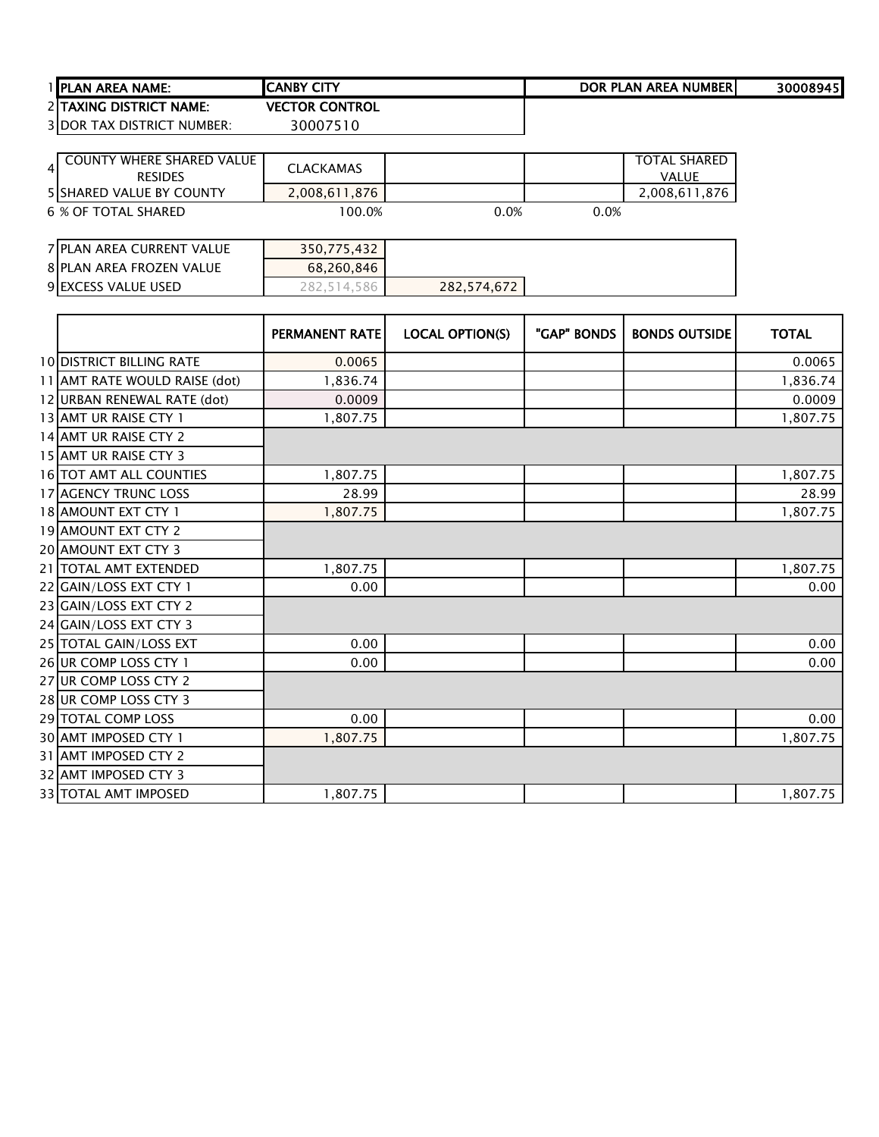| 1 IPLAN AREA NAME:                | ICANBY CITY           | DOR PLAN AREA NUMBER | 300089451 |
|-----------------------------------|-----------------------|----------------------|-----------|
| 2 TAXING DISTRICT NAME:           | <b>VECTOR CONTROL</b> |                      |           |
| <b>3 DOR TAX DISTRICT NUMBER:</b> | 30007510              |                      |           |

| <b>COUNTY WHERE SHARED VALUE</b><br>4<br><b>RESIDES</b> | <b>CLACKAMAS</b> |      |      | <b>TOTAL SHARED</b><br><b>VALUE</b> |
|---------------------------------------------------------|------------------|------|------|-------------------------------------|
| <b>5 ISHARED VALUE BY COUNTY</b>                        | 2,008,611,876    |      |      | 2,008,611,876                       |
| 6 % OF TOTAL SHARED                                     | 100.0%           | 0.0% | 0.0% |                                     |
| 7 PLAN AREA CURRENT VALUE                               | 350,775,432      |      |      |                                     |
| 8 PLAN AREA FROZEN VALUE                                | 68,260,846       |      |      |                                     |

**EXCESS VALUE USED** 282,514,586 282,574,672

|                                 | PERMANENT RATE | <b>LOCAL OPTION(S)</b> | "GAP" BONDS | <b>BONDS OUTSIDE</b> | <b>TOTAL</b> |
|---------------------------------|----------------|------------------------|-------------|----------------------|--------------|
| <b>10 DISTRICT BILLING RATE</b> | 0.0065         |                        |             |                      | 0.0065       |
| 11 AMT RATE WOULD RAISE (dot)   | 1,836.74       |                        |             |                      | 1,836.74     |
| 12 URBAN RENEWAL RATE (dot)     | 0.0009         |                        |             |                      | 0.0009       |
| 13 AMT UR RAISE CTY 1           | 1,807.75       |                        |             |                      | 1,807.75     |
| 14 AMT UR RAISE CTY 2           |                |                        |             |                      |              |
| 15 AMT UR RAISE CTY 3           |                |                        |             |                      |              |
| 16 TOT AMT ALL COUNTIES         | 1,807.75       |                        |             |                      | 1,807.75     |
| 17 AGENCY TRUNC LOSS            | 28.99          |                        |             |                      | 28.99        |
| 18 AMOUNT EXT CTY 1             | 1,807.75       |                        |             |                      | 1,807.75     |
| 19 AMOUNT EXT CTY 2             |                |                        |             |                      |              |
| 20 AMOUNT EXT CTY 3             |                |                        |             |                      |              |
| 21 TOTAL AMT EXTENDED           | 1,807.75       |                        |             |                      | 1,807.75     |
| 22 GAIN/LOSS EXT CTY 1          | 0.00           |                        |             |                      | 0.00         |
| 23 GAIN/LOSS EXT CTY 2          |                |                        |             |                      |              |
| 24 GAIN/LOSS EXT CTY 3          |                |                        |             |                      |              |
| 25 TOTAL GAIN/LOSS EXT          | 0.00           |                        |             |                      | 0.00         |
| 26 UR COMP LOSS CTY 1           | 0.00           |                        |             |                      | 0.00         |
| 27 UR COMP LOSS CTY 2           |                |                        |             |                      |              |
| 28 UR COMP LOSS CTY 3           |                |                        |             |                      |              |
| <b>29 TOTAL COMP LOSS</b>       | 0.00           |                        |             |                      | 0.00         |
| 30 AMT IMPOSED CTY 1            | 1,807.75       |                        |             |                      | 1,807.75     |
| 31 AMT IMPOSED CTY 2            |                |                        |             |                      |              |
| 32 AMT IMPOSED CTY 3            |                |                        |             |                      |              |
| 33 TOTAL AMT IMPOSED            | 1,807.75       |                        |             |                      | 1,807.75     |